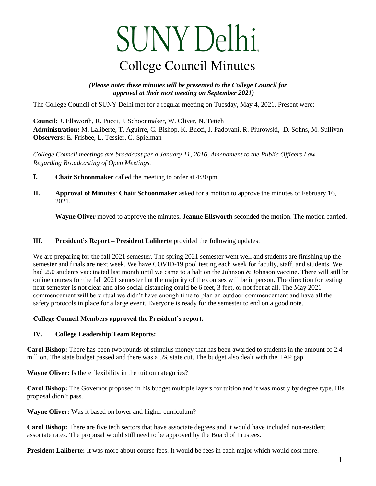## SUNY Delhi.

 *(Please note: these minutes will be presented to the College Council for approval at their next meeting on September 2021)* 

The College Council of SUNY Delhi met for a regular meeting on Tuesday, May 4, 2021. Present were:

 **Council:** J. Ellsworth, R. Pucci, J. Schoonmaker, W. Oliver, N. Tetteh **Administration:** M. Laliberte, T. Aguirre, C. Bishop, K. Bucci, J. Padovani, R. Piurowski, D. Sohns, M. Sullivan **Observers:** E. Frisbee, L. Tessier, G. Spielman

*College Council meetings are broadcast per a January 11, 2016, Amendment to the Public Officers Law Regarding Broadcasting of Open Meetings.* 

- **I. Chair Schoonmaker** called the meeting to order at 4:30 pm.
- **II. Approval of Minutes**: **Chair Schoonmaker** asked for a motion to approve the minutes of February 16, 2021.

**Wayne Oliver** moved to approve the minutes**. Jeanne Ellsworth** seconded the motion. The motion carried.

## **III. President's Report – President Laliberte** provided the following updates:

 online courses for the fall 2021 semester but the majority of the courses will be in person. The direction for testing next semester is not clear and also social distancing could be 6 feet, 3 feet, or not feet at all. The May 2021 **College Council Minutes**<br>
(*Please note: these minutes will be presented to the College*<br> *approval at their next meeting on September 2021)*<br>
Ollege Council of SUNY Delhi met for a regular meeting on Tuesday, May<br>
cilt: We are preparing for the fall 2021 semester. The spring 2021 semester went well and students are finishing up the semester and finals are next week. We have COVID-19 pool testing each week for faculty, staff, and students. We had 250 students vaccinated last month until we came to a halt on the Johnson & Johnson vaccine. There will still be commencement will be virtual we didn't have enough time to plan an outdoor commencement and have all the safety protocols in place for a large event. Everyone is ready for the semester to end on a good note.

## **College Council Members approved the President's report.**

## **IV. College Leadership Team Reports:**

**Carol Bishop:** There has been two rounds of stimulus money that has been awarded to students in the amount of 2.4 million. The state budget passed and there was a 5% state cut. The budget also dealt with the TAP gap.

**Wayne Oliver:** Is there flexibility in the tuition categories?

Carol Bishop: The Governor proposed in his budget multiple layers for tuition and it was mostly by degree type. His proposal didn't pass.

**Wayne Oliver:** Was it based on lower and higher curriculum?

Carol Bishop: There are five tech sectors that have associate degrees and it would have included non-resident associate rates. The proposal would still need to be approved by the Board of Trustees.

President Laliberte: It was more about course fees. It would be fees in each major which would cost more.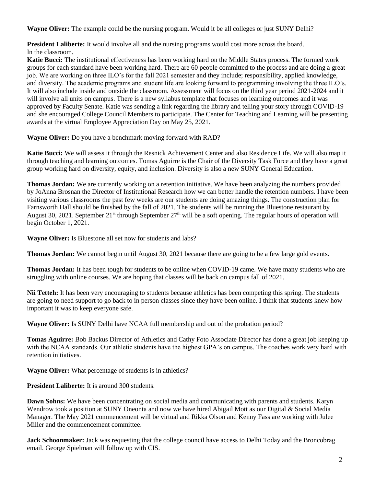**Wayne Oliver:** The example could be the nursing program. Would it be all colleges or just SUNY Delhi?

**President Laliberte:** It would involve all and the nursing programs would cost more across the board. In the classroom.

 groups for each standard have been working hard. There are 60 people committed to the process and are doing a great awards at the virtual Employee Appreciation Day on May 25, 2021. **Katie Bucci:** The institutional effectiveness has been working hard on the Middle States process. The formed work job. We are working on three ILO's for the fall 2021 semester and they include; responsibility, applied knowledge, and diversity. The academic programs and student life are looking forward to programming involving the three ILO's. It will also include inside and outside the classroom. Assessment will focus on the third year period 2021-2024 and it will involve all units on campus. There is a new syllabus template that focuses on learning outcomes and it was approved by Faculty Senate. Katie was sending a link regarding the library and telling your story through COVID-19 and she encouraged College Council Members to participate. The Center for Teaching and Learning will be presenting

**Wayne Oliver:** Do you have a benchmark moving forward with RAD?

**Katie Bucci:** We will assess it through the Resnick Achievement Center and also Residence Life. We will also map it through teaching and learning outcomes. Tomas Aguirre is the Chair of the Diversity Task Force and they have a great group working hard on diversity, equity, and inclusion. Diversity is also a new SUNY General Education.

 Farnsworth Hall should be finished by the fall of 2021. The students will be running the Bluestone restaurant by **Thomas Jordan:** We are currently working on a retention initiative. We have been analyzing the numbers provided by JoAnna Brosnan the Director of Institutional Research how we can better handle the retention numbers. I have been visiting various classrooms the past few weeks are our students are doing amazing things. The construction plan for August 30, 2021. September  $21^{st}$  through September  $27^{th}$  will be a soft opening. The regular hours of operation will begin October 1, 2021.

**Wayne Oliver:** Is Bluestone all set now for students and labs?

**Thomas Jordan:** We cannot begin until August 30, 2021 because there are going to be a few large gold events.

**Thomas Jordan:** It has been tough for students to be online when COVID-19 came. We have many students who are struggling with online courses. We are hoping that classes will be back on campus fall of 2021.

**Nii Tetteh:** It has been very encouraging to students because athletics has been competing this spring. The students are going to need support to go back to in person classes since they have been online. I think that students knew how important it was to keep everyone safe.

**Wayne Oliver:** Is SUNY Delhi have NCAA full membership and out of the probation period?

 **Tomas Aguirre:** Bob Backus Director of Athletics and Cathy Foto Associate Director has done a great job keeping up with the NCAA standards. Our athletic students have the highest GPA's on campus. The coaches work very hard with retention initiatives.

**Wayne Oliver:** What percentage of students is in athletics?

**President Laliberte:** It is around 300 students.

**Dawn Sohns:** We have been concentrating on social media and communicating with parents and students. Karyn Wendrow took a position at SUNY Oneonta and now we have hired Abigail Mott as our Digital & Social Media Manager. The May 2021 commencement will be virtual and Rikka Olson and Kenny Fass are working with Julee Miller and the commencement committee.

Jack Schoonmaker: Jack was requesting that the college council have access to Delhi Today and the Broncobrag email. George Spielman will follow up with CIS.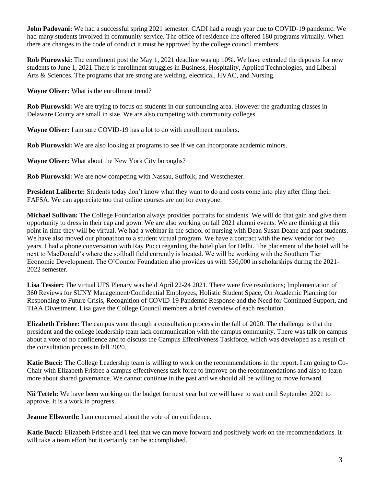John Padovani: We had a successful spring 2021 semester. CADI had a rough year due to COVID-19 pandemic. We had many students involved in community service. The office of residence life offered 180 programs virtually. When there are changes to the code of conduct it must be approved by the college council members.

**John Padovani:** We had a successful spring 2021 semester. CADI had a rough year due to COVID-19 pandemic. We had many students involved in community service. The office of residence life offered 180 programs virtually. Wh **Rob Piurowski:** The enrollment post the May 1, 2021 deadline was up 10%. We have extended the deposits for new students to June 1, 2021.There is enrollment struggles in Business, Hospitality, Applied Technologies, and Liberal Arts & Sciences. The programs that are strong are welding, electrical, HVAC, and Nursing.

**Wayne Oliver:** What is the enrollment trend?

**Rob Piurowski:** We are trying to focus on students in our surrounding area. However the graduating classes in Delaware County are small in size. We are also competing with community colleges.

**Wayne Oliver:** I am sure COVID-19 has a lot to do with enrollment numbers.

**Rob Piurowski:** We are also looking at programs to see if we can incorporate academic minors.

**Wayne Oliver:** What about the New York City boroughs?

**Rob Piurowski:** We are now competing with Nassau, Suffolk, and Westchester.

 **President Laliberte:** Students today don't know what they want to do and costs come into play after filing their FAFSA. We can appreciate too that online courses are not for everyone.

**Michael Sullivan:** The College Foundation always provides portraits for students. We will do that gain and give them opportunity to dress in their cap and gown. We are also working on fall 2021 alumni events. We are thinking at this point in time they will be virtual. We had a webinar in the school of nursing with Dean Susan Deane and past students. We have also moved our phonathon to a student virtual program. We have a contract with the new vendor for two years. I had a phone conversation with Ray Pucci regarding the hotel plan for Delhi. The placement of the hotel will be next to MacDonald's where the softball field currently is located. We will be working with the Southern Tier Economic Development. The O'Connor Foundation also provides us with \$30,000 in scholarships during the 2021- 2022 semester.

**Lisa Tessier:** The virtual UFS Plenary was held April 22-24 2021. There were five resolutions; Implementation of 360 Reviews for SUNY Management/Confidential Employees, Holistic Student Space, On Academic Planning for Responding to Future Crisis, Recognition of COVID-19 Pandemic Response and the Need for Continued Support, and TIAA Divestment. Lisa gave the College Council members a brief overview of each resolution.

 about a vote of no confidence and to discuss the Campus Effectiveness Taskforce, which was developed as a result of **Elizabeth Frisbee:** The campus went through a consultation process in the fall of 2020. The challenge is that the president and the college leadership team lack communication with the campus community. There was talk on campus the consultation process in fall 2020.

 Chair with Elizabeth Frisbee a campus effectiveness task force to improve on the recommendations and also to learn **Katie Bucci:** The College Leadership team is willing to work on the recommendations in the report. I am going to Comore about shared governance. We cannot continue in the past and we should all be willing to move forward.

 **Nii Tetteh:** We have been working on the budget for next year but we will have to wait until September 2021 to approve. It is a work in progress.

**Jeanne Ellsworth:** I am concerned about the vote of no confidence.

 will take a team effort but it certainly can be accomplished. Katie Bucci: Elizabeth Frisbee and I feel that we can move forward and positively work on the recommendations. It